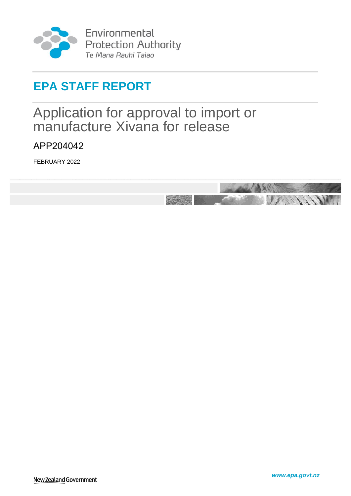

Environmental Protection Authority<br>Te Mana Rauhī Taiao

# **EPA STAFF REPORT**

# <span id="page-0-0"></span>Application for approval to import or manufacture Xivana for release

<span id="page-0-1"></span>APP204042

FEBRUARY 2022

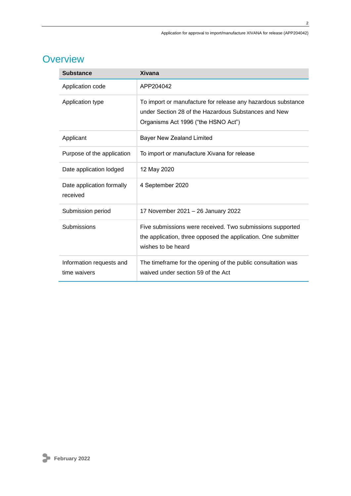## **Overview**

| <b>Substance</b>                         | <b>Xivana</b>                                                                                                                                               |
|------------------------------------------|-------------------------------------------------------------------------------------------------------------------------------------------------------------|
| Application code                         | APP204042                                                                                                                                                   |
| Application type                         | To import or manufacture for release any hazardous substance<br>under Section 28 of the Hazardous Substances and New<br>Organisms Act 1996 ("the HSNO Act") |
| Applicant                                | <b>Bayer New Zealand Limited</b>                                                                                                                            |
| Purpose of the application               | To import or manufacture Xivana for release                                                                                                                 |
| Date application lodged                  | 12 May 2020                                                                                                                                                 |
| Date application formally<br>received    | 4 September 2020                                                                                                                                            |
| Submission period                        | 17 November 2021 - 26 January 2022                                                                                                                          |
| Submissions                              | Five submissions were received. Two submissions supported<br>the application, three opposed the application. One submitter<br>wishes to be heard            |
| Information requests and<br>time waivers | The timeframe for the opening of the public consultation was<br>waived under section 59 of the Act                                                          |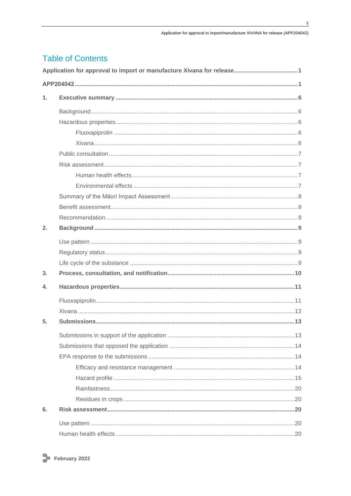## **Table of Contents**

| $\mathbf 1$ .    |  |  |
|------------------|--|--|
|                  |  |  |
|                  |  |  |
|                  |  |  |
|                  |  |  |
|                  |  |  |
|                  |  |  |
|                  |  |  |
|                  |  |  |
|                  |  |  |
|                  |  |  |
|                  |  |  |
| 2.               |  |  |
|                  |  |  |
|                  |  |  |
|                  |  |  |
| 3.               |  |  |
| $\overline{4}$ . |  |  |
|                  |  |  |
|                  |  |  |
| 5.               |  |  |
|                  |  |  |
|                  |  |  |
|                  |  |  |
|                  |  |  |
|                  |  |  |
|                  |  |  |
|                  |  |  |
| 6.               |  |  |
|                  |  |  |
|                  |  |  |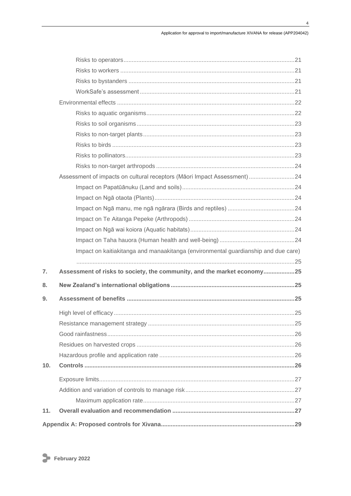$\overline{\mathbf{4}}$ 

|     | Assessment of impacts on cultural receptors (Māori Impact Assessment) 24           |  |
|-----|------------------------------------------------------------------------------------|--|
|     |                                                                                    |  |
|     |                                                                                    |  |
|     |                                                                                    |  |
|     |                                                                                    |  |
|     |                                                                                    |  |
|     |                                                                                    |  |
|     | Impact on kaitiakitanga and manaakitanga (environmental guardianship and due care) |  |
|     |                                                                                    |  |
| 7.  | Assessment of risks to society, the community, and the market economy25            |  |
| 8.  |                                                                                    |  |
| 9.  |                                                                                    |  |
|     |                                                                                    |  |
|     |                                                                                    |  |
|     |                                                                                    |  |
|     |                                                                                    |  |
|     |                                                                                    |  |
| 10. |                                                                                    |  |
|     |                                                                                    |  |
|     |                                                                                    |  |
|     |                                                                                    |  |
| 11. |                                                                                    |  |
|     |                                                                                    |  |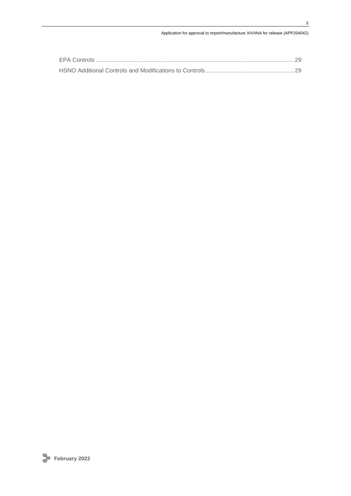#### Application for approval to import/manufacture XIVANA for release (APP204042)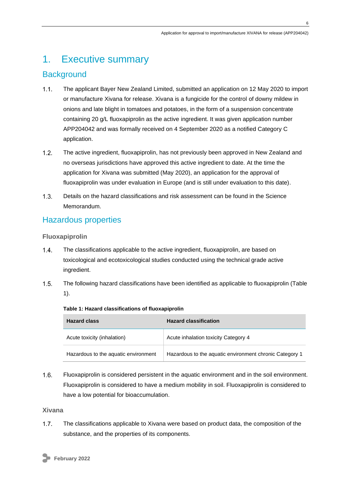## <span id="page-5-0"></span>1. Executive summary

## <span id="page-5-1"></span>**Background**

- $1.1.$ The applicant Bayer New Zealand Limited, submitted an application on 12 May 2020 to import or manufacture Xivana for release. Xivana is a fungicide for the control of downy mildew in onions and late blight in tomatoes and potatoes, in the form of a suspension concentrate containing 20 g/L fluoxapiprolin as the active ingredient. It was given application number APP204042 and was formally received on 4 September 2020 as a notified Category C application.
- $1.2<sub>1</sub>$ The active ingredient, fluoxapiprolin, has not previously been approved in New Zealand and no overseas jurisdictions have approved this active ingredient to date. At the time the application for Xivana was submitted (May 2020), an application for the approval of fluoxapiprolin was under evaluation in Europe (and is still under evaluation to this date).
- $1.3.$ Details on the hazard classifications and risk assessment can be found in the Science Memorandum.

## <span id="page-5-2"></span>Hazardous properties

<span id="page-5-3"></span>**Fluoxapiprolin**

- $1.4.$ The classifications applicable to the active ingredient, fluoxapiprolin, are based on toxicological and ecotoxicological studies conducted using the technical grade active ingredient.
- $1.5.$ The following hazard classifications have been identified as applicable to fluoxapiprolin (Table 1).

| <b>Hazard class</b>                  | <b>Hazard classification</b>                            |
|--------------------------------------|---------------------------------------------------------|
| Acute toxicity (inhalation)          | Acute inhalation toxicity Category 4                    |
| Hazardous to the aquatic environment | Hazardous to the aquatic environment chronic Category 1 |

#### **Table 1: Hazard classifications of fluoxapiprolin**

 $1.6.$ Fluoxapiprolin is considered persistent in the aquatic environment and in the soil environment. Fluoxapiprolin is considered to have a medium mobility in soil. Fluoxapiprolin is considered to have a low potential for bioaccumulation.

<span id="page-5-4"></span>**Xivana**

 $1.7.$ The classifications applicable to Xivana were based on product data, the composition of the substance, and the properties of its components.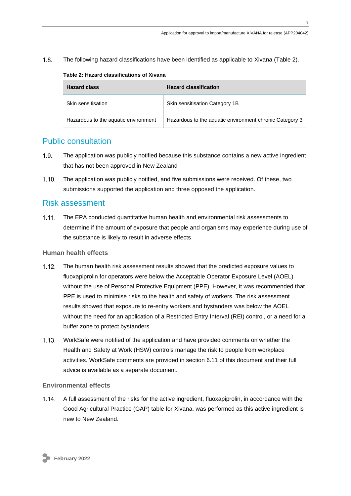$1.8.$ The following hazard classifications have been identified as applicable to Xivana (Table 2).

| <b>Hazard class</b>                  | <b>Hazard classification</b>                            |
|--------------------------------------|---------------------------------------------------------|
| Skin sensitisation                   | Skin sensitisation Category 1B                          |
| Hazardous to the aquatic environment | Hazardous to the aquatic environment chronic Category 3 |

#### **Table 2: Hazard classifications of Xivana**

## <span id="page-6-0"></span>Public consultation

- $1.9<sub>1</sub>$ The application was publicly notified because this substance contains a new active ingredient that has not been approved in New Zealand
- $1.10.$ The application was publicly notified, and five submissions were received. Of these, two submissions supported the application and three opposed the application.

### <span id="page-6-1"></span>Risk assessment

The EPA conducted quantitative human health and environmental risk assessments to determine if the amount of exposure that people and organisms may experience during use of the substance is likely to result in adverse effects.

#### <span id="page-6-2"></span>**Human health effects**

- $1.12 -$ The human health risk assessment results showed that the predicted exposure values to fluoxapiprolin for operators were below the Acceptable Operator Exposure Level (AOEL) without the use of Personal Protective Equipment (PPE). However, it was recommended that PPE is used to minimise risks to the health and safety of workers. The risk assessment results showed that exposure to re-entry workers and bystanders was below the AOEL without the need for an application of a Restricted Entry Interval (REI) control, or a need for a buffer zone to protect bystanders.
- $1.13.$ WorkSafe were notified of the application and have provided comments on whether the Health and Safety at Work (HSW) controls manage the risk to people from workplace activities. WorkSafe comments are provided in section 6.11 of this document and their full advice is available as a separate document.

#### <span id="page-6-3"></span>**Environmental effects**

A full assessment of the risks for the active ingredient, fluoxapiprolin, in accordance with the Good Agricultural Practice (GAP) table for Xivana, was performed as this active ingredient is new to New Zealand.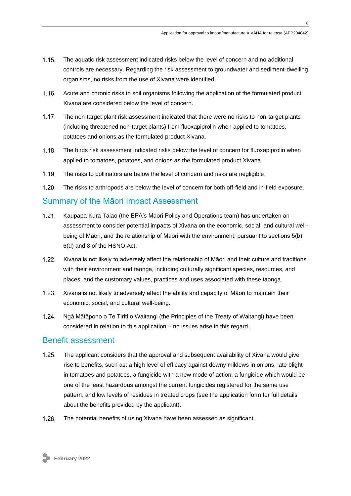- $1.15.$ The aquatic risk assessment indicated risks below the level of concern and no additional controls are necessary. Regarding the risk assessment to groundwater and sediment-dwelling organisms, no risks from the use of Xivana were identified.
- $1.16.$ Acute and chronic risks to soil organisms following the application of the formulated product Xivana are considered below the level of concern.
- $1.17.$ The non-target plant risk assessment indicated that there were no risks to non-target plants (including threatened non-target plants) from fluoxapiprolin when applied to tomatoes, potatoes and onions as the formulated product Xivana.
- $1.18$ The birds risk assessment indicated risks below the level of concern for fluoxapiprolin when applied to tomatoes, potatoes, and onions as the formulated product Xivana.
- $1.19.$ The risks to pollinators are below the level of concern and risks are negligible.
- $1.20.$ The risks to arthropods are below the level of concern for both off-field and in-field exposure.

### <span id="page-7-0"></span>Summary of the Māori Impact Assessment

- Kaupapa Kura Taiao (the EPA's Māori Policy and Operations team) has undertaken an  $1.21$ assessment to consider potential impacts of Xivana on the economic, social, and cultural wellbeing of Māori, and the relationship of Māori with the environment, pursuant to sections 5(b), 6(d) and 8 of the HSNO Act.
- $1.22.$ Xivana is not likely to adversely affect the relationship of Māori and their culture and traditions with their environment and taonga, including culturally significant species, resources, and places, and the customary values, practices and uses associated with these taonga.
- $1.23.$ Xivana is not likely to adversely affect the ability and capacity of Māori to maintain their economic, social, and cultural well-being.
- $1.24$ Ngā Mātāpono o Te Tiriti o Waitangi (the Principles of the Treaty of Waitangi) have been considered in relation to this application – no issues arise in this regard.

### <span id="page-7-1"></span>Benefit assessment

- $1.25.$ The applicant considers that the approval and subsequent availability of Xivana would give rise to benefits, such as; a high level of efficacy against downy mildews in onions, late blight in tomatoes and potatoes, a fungicide with a new mode of action, a fungicide which would be one of the least hazardous amongst the current fungicides registered for the same use pattern, and low levels of residues in treated crops (see the application form for full details about the benefits provided by the applicant).
- $1.26.$ The potential benefits of using Xivana have been assessed as significant.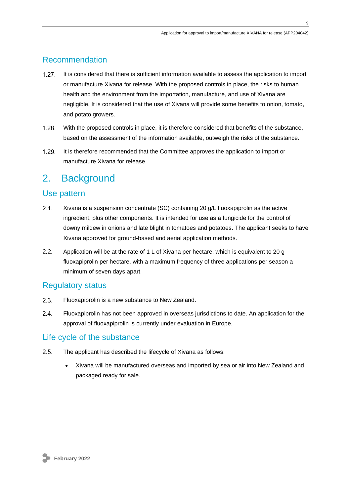## <span id="page-8-0"></span>Recommendation

- $1.27.$ It is considered that there is sufficient information available to assess the application to import or manufacture Xivana for release. With the proposed controls in place, the risks to human health and the environment from the importation, manufacture, and use of Xivana are negligible. It is considered that the use of Xivana will provide some benefits to onion, tomato, and potato growers.
- $1.28$ With the proposed controls in place, it is therefore considered that benefits of the substance, based on the assessment of the information available, outweigh the risks of the substance.
- $1.29.$ It is therefore recommended that the Committee approves the application to import or manufacture Xivana for release.

## <span id="page-8-1"></span>2. Background

### <span id="page-8-2"></span>Use pattern

- $2.1.$ Xivana is a suspension concentrate (SC) containing 20 g/L fluoxapiprolin as the active ingredient, plus other components. It is intended for use as a fungicide for the control of downy mildew in onions and late blight in tomatoes and potatoes. The applicant seeks to have Xivana approved for ground-based and aerial application methods.
- $2.2<sub>1</sub>$ Application will be at the rate of 1 L of Xivana per hectare, which is equivalent to 20 g fluoxapiprolin per hectare, with a maximum frequency of three applications per season a minimum of seven days apart.

### <span id="page-8-3"></span>Regulatory status

- $2.3.$ Fluoxapiprolin is a new substance to New Zealand.
- $24$ Fluoxapiprolin has not been approved in overseas jurisdictions to date. An application for the approval of fluoxapiprolin is currently under evaluation in Europe.

## <span id="page-8-4"></span>Life cycle of the substance

- $2.5.$ The applicant has described the lifecycle of Xivana as follows:
	- Xivana will be manufactured overseas and imported by sea or air into New Zealand and packaged ready for sale.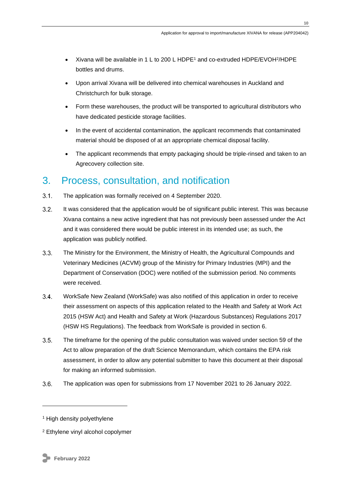- Xivana will be available in 1 L to 200 L HDPE<sup>1</sup> and co-extruded HDPE/EVOH<sup>2</sup>/HDPE bottles and drums.
- Upon arrival Xivana will be delivered into chemical warehouses in Auckland and Christchurch for bulk storage.
- Form these warehouses, the product will be transported to agricultural distributors who have dedicated pesticide storage facilities.
- In the event of accidental contamination, the applicant recommends that contaminated material should be disposed of at an appropriate chemical disposal facility.
- The applicant recommends that empty packaging should be triple-rinsed and taken to an Agrecovery collection site.

## <span id="page-9-0"></span>3. Process, consultation, and notification

- $3.1.$ The application was formally received on 4 September 2020.
- $3.2.$ It was considered that the application would be of significant public interest. This was because Xivana contains a new active ingredient that has not previously been assessed under the Act and it was considered there would be public interest in its intended use; as such, the application was publicly notified.
- $3.3.$ The Ministry for the Environment, the Ministry of Health, the Agricultural Compounds and Veterinary Medicines (ACVM) group of the Ministry for Primary Industries (MPI) and the Department of Conservation (DOC) were notified of the submission period. No comments were received.
- $3.4.$ WorkSafe New Zealand (WorkSafe) was also notified of this application in order to receive their assessment on aspects of this application related to the Health and Safety at Work Act 2015 (HSW Act) and Health and Safety at Work (Hazardous Substances) Regulations 2017 (HSW HS Regulations). The feedback from WorkSafe is provided in section 6.
- $3.5.$ The timeframe for the opening of the public consultation was waived under section 59 of the Act to allow preparation of the draft Science Memorandum, which contains the EPA risk assessment, in order to allow any potential submitter to have this document at their disposal for making an informed submission.
- $3.6.$ The application was open for submissions from 17 November 2021 to 26 January 2022.

**10**

<sup>&</sup>lt;sup>1</sup> High density polyethylene

<sup>2</sup> Ethylene vinyl alcohol copolymer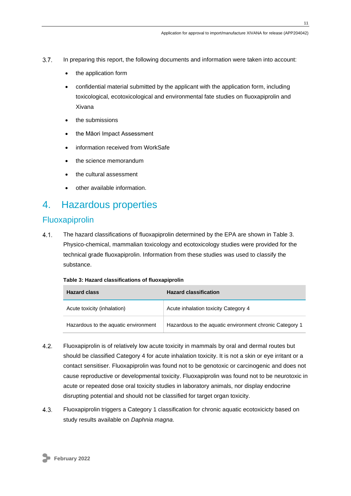- $3.7.$ In preparing this report, the following documents and information were taken into account:
	- the application form
	- confidential material submitted by the applicant with the application form, including toxicological, ecotoxicological and environmental fate studies on fluoxapiprolin and Xivana
	- the submissions
	- the Māori Impact Assessment
	- information received from WorkSafe
	- the science memorandum
	- the cultural assessment
	- other available information.

## <span id="page-10-0"></span>4. Hazardous properties

### <span id="page-10-1"></span>Fluoxapiprolin

 $4.1.$ The hazard classifications of fluoxapiprolin determined by the EPA are shown in Table 3. Physico-chemical, mammalian toxicology and ecotoxicology studies were provided for the technical grade fluoxapiprolin. Information from these studies was used to classify the substance.

| <b>Hazard class</b>                  | <b>Hazard classification</b>                            |
|--------------------------------------|---------------------------------------------------------|
| Acute toxicity (inhalation)          | Acute inhalation toxicity Category 4                    |
| Hazardous to the aquatic environment | Hazardous to the aquatic environment chronic Category 1 |

#### **Table 3: Hazard classifications of fluoxapiprolin**

- 4.2 Fluoxapiprolin is of relatively low acute toxicity in mammals by oral and dermal routes but should be classified Category 4 for acute inhalation toxicity. It is not a skin or eye irritant or a contact sensitiser. Fluoxapiprolin was found not to be genotoxic or carcinogenic and does not cause reproductive or developmental toxicity. Fluoxapiprolin was found not to be neurotoxic in acute or repeated dose oral toxicity studies in laboratory animals, nor display endocrine disrupting potential and should not be classified for target organ toxicity.
- $4.3.$ Fluoxapiprolin triggers a Category 1 classification for chronic aquatic ecotoxicicty based on study results available on *Daphnia magna*.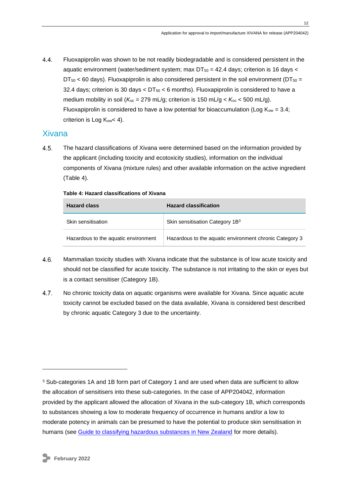$4.4$ Fluoxapiprolin was shown to be not readily biodegradable and is considered persistent in the aquatic environment (water/sediment system; max  $DT_{50} = 42.4$  days; criterion is 16 days <  $DT_{50}$  < 60 days). Fluoxapiprolin is also considered persistent in the soil environment ( $DT_{50}$  = 32.4 days; criterion is 30 days  $<$  DT<sub>50</sub>  $<$  6 months). Fluoxapiprolin is considered to have a medium mobility in soil  $(K_{oc} = 279 \text{ mL/g})$ ; criterion is 150 mL/g <  $K_{oc}$  < 500 mL/g). Fluoxapiprolin is considered to have a low potential for bioaccumulation (Log  $K_{ow} = 3.4$ ; criterion is Log  $K_{ow}$  < 4).

## <span id="page-11-0"></span>Xivana

 $4.5.$ The hazard classifications of Xivana were determined based on the information provided by the applicant (including toxicity and ecotoxicity studies), information on the individual components of Xivana (mixture rules) and other available information on the active ingredient (Table 4).

| <b>Hazard class</b>                  | <b>Hazard classification</b>                            |
|--------------------------------------|---------------------------------------------------------|
| Skin sensitisation                   | Skin sensitisation Category 1B <sup>3</sup>             |
| Hazardous to the aquatic environment | Hazardous to the aquatic environment chronic Category 3 |

#### **Table 4: Hazard classifications of Xivana**

- 4.6. Mammalian toxicity studies with Xivana indicate that the substance is of low acute toxicity and should not be classified for acute toxicity. The substance is not irritating to the skin or eyes but is a contact sensitiser (Category 1B).
- 4.7. No chronic toxicity data on aquatic organisms were available for Xivana. Since aquatic acute toxicity cannot be excluded based on the data available, Xivana is considered best described by chronic aquatic Category 3 due to the uncertainty.

<sup>&</sup>lt;sup>3</sup> Sub-categories 1A and 1B form part of Category 1 and are used when data are sufficient to allow the allocation of sensitisers into these sub-categories. In the case of APP204042, information provided by the applicant allowed the allocation of Xivana in the sub-category 1B, which corresponds to substances showing a low to moderate frequency of occurrence in humans and/or a low to moderate potency in animals can be presumed to have the potential to produce skin sensitisation in humans (see [Guide to classifying hazardous substances in New Zealand](https://www.epa.govt.nz/industry-areas/hazardous-substances/new-zealands-new-hazard-classification-system/) for more details).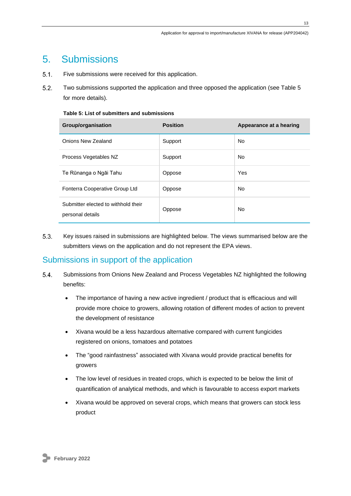## <span id="page-12-0"></span>5. Submissions

- $5.1.$ Five submissions were received for this application.
- $5.2.$ Two submissions supported the application and three opposed the application (see Table 5 for more details).

#### **Table 5: List of submitters and submissions**

| Group/organisation                                      | <b>Position</b> | Appearance at a hearing |
|---------------------------------------------------------|-----------------|-------------------------|
| Onions New Zealand                                      | Support         | No.                     |
| Process Vegetables NZ                                   | Support         | No.                     |
| Te Rūnanga o Ngāi Tahu                                  | Oppose          | Yes                     |
| Fonterra Cooperative Group Ltd                          | Oppose          | <b>No</b>               |
| Submitter elected to withhold their<br>personal details | Oppose          | <b>No</b>               |

5.3. Key issues raised in submissions are highlighted below. The views summarised below are the submitters views on the application and do not represent the EPA views.

## <span id="page-12-1"></span>Submissions in support of the application

- $5.4.$ Submissions from Onions New Zealand and Process Vegetables NZ highlighted the following benefits:
	- The importance of having a new active ingredient / product that is efficacious and will provide more choice to growers, allowing rotation of different modes of action to prevent the development of resistance
	- Xivana would be a less hazardous alternative compared with current fungicides registered on onions, tomatoes and potatoes
	- The "good rainfastness" associated with Xivana would provide practical benefits for growers
	- The low level of residues in treated crops, which is expected to be below the limit of quantification of analytical methods, and which is favourable to access export markets
	- Xivana would be approved on several crops, which means that growers can stock less product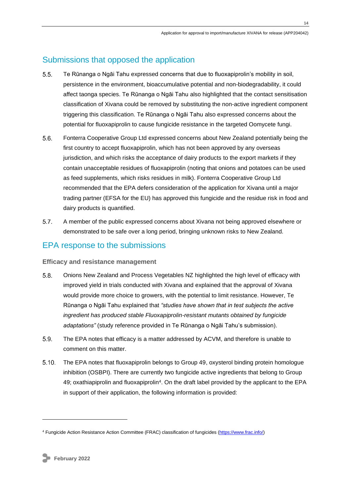## <span id="page-13-0"></span>Submissions that opposed the application

- $5.5.$ Te Rūnanga o Ngāi Tahu expressed concerns that due to fluoxapiprolin's mobility in soil, persistence in the environment, bioaccumulative potential and non-biodegradability, it could affect taonga species. Te Rūnanga o Ngāi Tahu also highlighted that the contact sensitisation classification of Xivana could be removed by substituting the non-active ingredient component triggering this classification. Te Rūnanga o Ngāi Tahu also expressed concerns about the potential for fluoxapiprolin to cause fungicide resistance in the targeted Oomycete fungi.
- $5.6.$ Fonterra Cooperative Group Ltd expressed concerns about New Zealand potentially being the first country to accept fluoxapiprolin, which has not been approved by any overseas jurisdiction, and which risks the acceptance of dairy products to the export markets if they contain unacceptable residues of fluoxapiprolin (noting that onions and potatoes can be used as feed supplements, which risks residues in milk). Fonterra Cooperative Group Ltd recommended that the EPA defers consideration of the application for Xivana until a major trading partner (EFSA for the EU) has approved this fungicide and the residue risk in food and dairy products is quantified.
- $5.7.$ A member of the public expressed concerns about Xivana not being approved elsewhere or demonstrated to be safe over a long period, bringing unknown risks to New Zealand.

## <span id="page-13-1"></span>EPA response to the submissions

#### <span id="page-13-2"></span>**Efficacy and resistance management**

- $5.8.$ Onions New Zealand and Process Vegetables NZ highlighted the high level of efficacy with improved yield in trials conducted with Xivana and explained that the approval of Xivana would provide more choice to growers, with the potential to limit resistance. However, Te Rūnanga o Ngāi Tahu explained that *"studies have shown that in test subjects the active ingredient has produced stable Fluoxapiprolin-resistant mutants obtained by fungicide adaptations"* (study reference provided in Te Rūnanga o Ngāi Tahu's submission).
- 5.9. The EPA notes that efficacy is a matter addressed by ACVM, and therefore is unable to comment on this matter.
- $5.10.$ The EPA notes that fluoxapiprolin belongs to Group 49, oxysterol binding protein homologue inhibition (OSBPI). There are currently two fungicide active ingredients that belong to Group 49; oxathiapiprolin and fluoxapiprolin<sup>4</sup>. On the draft label provided by the applicant to the EPA in support of their application, the following information is provided:

<sup>4</sup> Fungicide Action Resistance Action Committee (FRAC) classification of fungicides [\(https://www.frac.info/\)](https://www.frac.info/)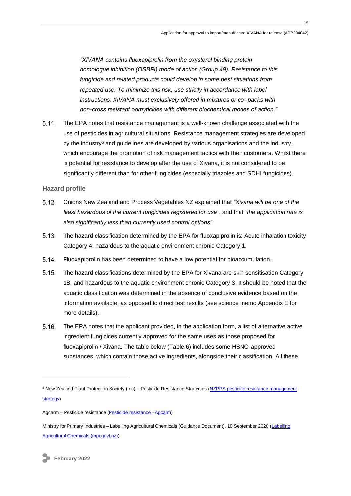*"XIVANA contains fluoxapiprolin from the oxysterol binding protein homologue inhibition (OSBPI) mode of action (Group 49). Resistance to this fungicide and related products could develop in some pest situations from repeated use. To minimize this risk, use strictly in accordance with label instructions. XIVANA must exclusively offered in mixtures or co- packs with non-cross resistant oomyticides with different biochemical modes of action."*

5.11. The EPA notes that resistance management is a well-known challenge associated with the use of pesticides in agricultural situations. Resistance management strategies are developed by the industry<sup>5</sup> and guidelines are developed by various organisations and the industry, which encourage the promotion of risk management tactics with their customers. Whilst there is potential for resistance to develop after the use of Xivana, it is not considered to be significantly different than for other fungicides (especially triazoles and SDHI fungicides).

#### <span id="page-14-0"></span>**Hazard profile**

- Onions New Zealand and Process Vegetables NZ explained that *"Xivana will be one of the*   $5.12.$ *least hazardous of the current fungicides registered for use"*, and that *"the application rate is also significantly less than currently used control options"*.
- $5.13.$ The hazard classification determined by the EPA for fluoxapiprolin is: Acute inhalation toxicity Category 4, hazardous to the aquatic environment chronic Category 1.
- $5.14.$ Fluoxapiprolin has been determined to have a low potential for bioaccumulation.
- $5.15.$ The hazard classifications determined by the EPA for Xivana are skin sensitisation Category 1B, and hazardous to the aquatic environment chronic Category 3. It should be noted that the aquatic classification was determined in the absence of conclusive evidence based on the information available, as opposed to direct test results (see science memo Appendix E for more details).
- $5.16.$ The EPA notes that the applicant provided, in the application form, a list of alternative active ingredient fungicides currently approved for the same uses as those proposed for fluoxapiprolin / Xivana. The table below (Table 6) includes some HSNO-approved substances, which contain those active ingredients, alongside their classification. All these

<sup>&</sup>lt;sup>5</sup> New Zealand Plant Protection Society (Inc) – Pesticide Resistance Strategies (NZPPS pesticide resistance management [strategy\)](http://resistance.nzpps.org/)

Agcarm – Pesticide resistance [\(Pesticide resistance -](http://agcarm.co.nz/healthy-crops/pesticide-resistance/?child=true) Agcarm)

Ministry for Primary Industries – Labelling Agricultural Chemicals (Guidance Document), 10 September 2020 [\(Labelling](https://www.mpi.govt.nz/dmsdocument/19481-ACVM-Guideline-Labelling-Agricultural-Chemicals)  [Agricultural Chemicals \(mpi.govt.nz\)\)](https://www.mpi.govt.nz/dmsdocument/19481-ACVM-Guideline-Labelling-Agricultural-Chemicals)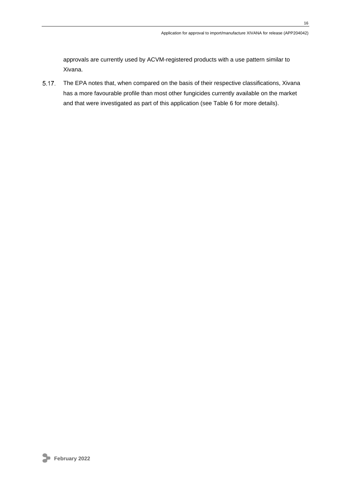approvals are currently used by ACVM-registered products with a use pattern similar to Xivana.

5.17. The EPA notes that, when compared on the basis of their respective classifications, Xivana has a more favourable profile than most other fungicides currently available on the market and that were investigated as part of this application (see Table 6 for more details).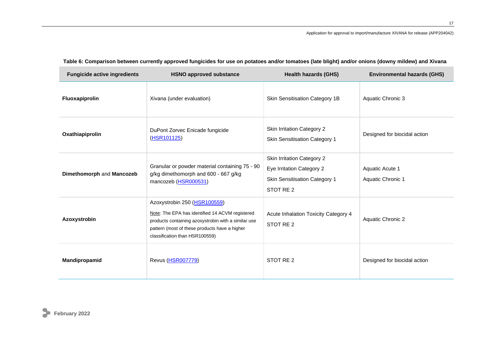| <b>Fungicide active ingredients</b> | <b>HSNO approved substance</b>                                                                                                                                                                                            | <b>Health hazards (GHS)</b>                                                                           | <b>Environmental hazards (GHS)</b>   |
|-------------------------------------|---------------------------------------------------------------------------------------------------------------------------------------------------------------------------------------------------------------------------|-------------------------------------------------------------------------------------------------------|--------------------------------------|
| Fluoxapiprolin                      | Xivana (under evaluation)                                                                                                                                                                                                 | Skin Sensitisation Category 1B                                                                        | Aquatic Chronic 3                    |
| Oxathiapiprolin                     | DuPont Zorvec Enicade fungicide<br>(HSR101125)                                                                                                                                                                            | Skin Irritation Category 2<br>Skin Sensitisation Category 1                                           | Designed for biocidal action         |
| Dimethomorph and Mancozeb           | Granular or powder material containing 75 - 90<br>g/kg dimethomorph and 600 - 667 g/kg<br>mancozeb (HSR000531)                                                                                                            | Skin Irritation Category 2<br>Eye Irritation Category 2<br>Skin Sensitisation Category 1<br>STOT RE 2 | Aquatic Acute 1<br>Aquatic Chronic 1 |
| Azoxystrobin                        | Azoxystrobin 250 (HSR100559)<br>Note: The EPA has identified 14 ACVM registered<br>products containing azoxystrobin with a similar use<br>pattern (most of these products have a higher<br>classification than HSR100559) | Acute Inhalation Toxicity Category 4<br>STOT RE 2                                                     | Aquatic Chronic 2                    |
| Mandipropamid                       | Revus (HSR007779)                                                                                                                                                                                                         | STOT RE 2                                                                                             | Designed for biocidal action         |

## **Table 6: Comparison between currently approved fungicides for use on potatoes and/or tomatoes (late blight) and/or onions (downy mildew) and Xivana**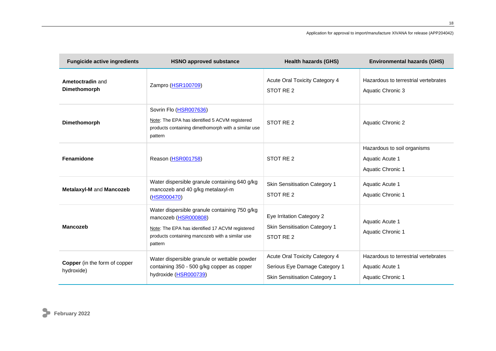#### Application for approval to import/manufacture XIVANA for release (APP204042)

| <b>Fungicide active ingredients</b>                | <b>HSNO approved substance</b>                                                                                                                                                         | <b>Health hazards (GHS)</b>                                                                      | <b>Environmental hazards (GHS)</b>                                           |
|----------------------------------------------------|----------------------------------------------------------------------------------------------------------------------------------------------------------------------------------------|--------------------------------------------------------------------------------------------------|------------------------------------------------------------------------------|
| Ametoctradin and<br>Dimethomorph                   | Zampro (HSR100709)                                                                                                                                                                     | Acute Oral Toxicity Category 4<br>STOT RE 2                                                      | Hazardous to terrestrial vertebrates<br>Aquatic Chronic 3                    |
| Dimethomorph                                       | Sovrin Flo (HSR007636)<br>Note: The EPA has identified 5 ACVM registered<br>products containing dimethomorph with a similar use<br>pattern                                             | STOT RE 2                                                                                        | <b>Aquatic Chronic 2</b>                                                     |
| Fenamidone                                         | Reason (HSR001758)                                                                                                                                                                     | STOT RE 2                                                                                        | Hazardous to soil organisms<br>Aquatic Acute 1<br>Aquatic Chronic 1          |
| Metalaxyl-M and Mancozeb                           | Water dispersible granule containing 640 g/kg<br>mancozeb and 40 g/kg metalaxyl-m<br>(HSR000470)                                                                                       | <b>Skin Sensitisation Category 1</b><br>STOT RE 2                                                | Aquatic Acute 1<br>Aquatic Chronic 1                                         |
| <b>Mancozeb</b>                                    | Water dispersible granule containing 750 g/kg<br>mancozeb (HSR000808)<br>Note: The EPA has identified 17 ACVM registered<br>products containing mancozeb with a similar use<br>pattern | Eye Irritation Category 2<br>Skin Sensitisation Category 1<br>STOT RE 2                          | Aquatic Acute 1<br>Aquatic Chronic 1                                         |
| <b>Copper</b> (in the form of copper<br>hydroxide) | Water dispersible granule or wettable powder<br>containing 350 - 500 g/kg copper as copper<br>hydroxide (HSR000739)                                                                    | Acute Oral Toxicity Category 4<br>Serious Eye Damage Category 1<br>Skin Sensitisation Category 1 | Hazardous to terrestrial vertebrates<br>Aquatic Acute 1<br>Aquatic Chronic 1 |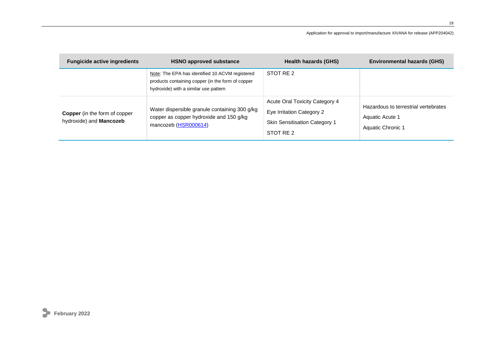#### Application for approval to import/manufacture XIVANA for release (APP204042)

| <b>Fungicide active ingredients</b>                             | <b>HSNO approved substance</b>                                                                                                                | <b>Health hazards (GHS)</b>                                                                                      | <b>Environmental hazards (GHS)</b>                                           |
|-----------------------------------------------------------------|-----------------------------------------------------------------------------------------------------------------------------------------------|------------------------------------------------------------------------------------------------------------------|------------------------------------------------------------------------------|
|                                                                 | Note: The EPA has identified 10 ACVM registered<br>products containing copper (in the form of copper<br>hydroxide) with a similar use pattern | STOT RE 2                                                                                                        |                                                                              |
| <b>Copper</b> (in the form of copper<br>hydroxide) and Mancozeb | Water dispersible granule containing 300 g/kg<br>copper as copper hydroxide and 150 g/kg<br>mancozeb (HSR000614)                              | Acute Oral Toxicity Category 4<br>Eye Irritation Category 2<br><b>Skin Sensitisation Category 1</b><br>STOT RE 2 | Hazardous to terrestrial vertebrates<br>Aquatic Acute 1<br>Aquatic Chronic 1 |



**19**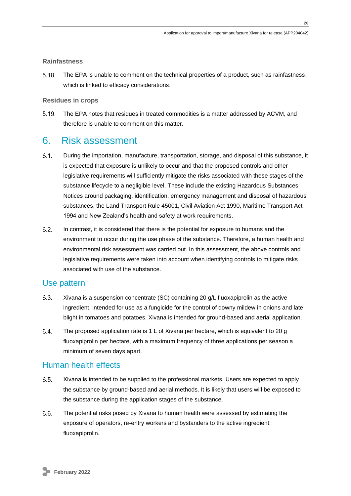#### <span id="page-19-0"></span>**Rainfastness**

 $5.18.$ The EPA is unable to comment on the technical properties of a product, such as rainfastness, which is linked to efficacy considerations.

#### <span id="page-19-1"></span>**Residues in crops**

The EPA notes that residues in treated commodities is a matter addressed by ACVM, and  $5.19.$ therefore is unable to comment on this matter.

## <span id="page-19-2"></span>6. Risk assessment

- $6.1$ During the importation, manufacture, transportation, storage, and disposal of this substance, it is expected that exposure is unlikely to occur and that the proposed controls and other legislative requirements will sufficiently mitigate the risks associated with these stages of the substance lifecycle to a negligible level. These include the existing Hazardous Substances Notices around packaging, identification, emergency management and disposal of hazardous substances, the Land Transport Rule 45001, Civil Aviation Act 1990, Maritime Transport Act 1994 and New Zealand's health and safety at work requirements.
- $6.2.$ In contrast, it is considered that there is the potential for exposure to humans and the environment to occur during the use phase of the substance. Therefore, a human health and environmental risk assessment was carried out. In this assessment, the above controls and legislative requirements were taken into account when identifying controls to mitigate risks associated with use of the substance.

### <span id="page-19-3"></span>Use pattern

- $6.3.$ Xivana is a suspension concentrate (SC) containing 20 g/L fluoxapiprolin as the active ingredient, intended for use as a fungicide for the control of downy mildew in onions and late blight in tomatoes and potatoes. Xivana is intended for ground-based and aerial application.
- $6.4.$ The proposed application rate is 1 L of Xivana per hectare, which is equivalent to 20 g fluoxapiprolin per hectare, with a maximum frequency of three applications per season a minimum of seven days apart.

### <span id="page-19-4"></span>Human health effects

- $6.5.$ Xivana is intended to be supplied to the professional markets. Users are expected to apply the substance by ground-based and aerial methods. It is likely that users will be exposed to the substance during the application stages of the substance.
- 6.6. The potential risks posed by Xivana to human health were assessed by estimating the exposure of operators, re-entry workers and bystanders to the active ingredient, fluoxapiprolin.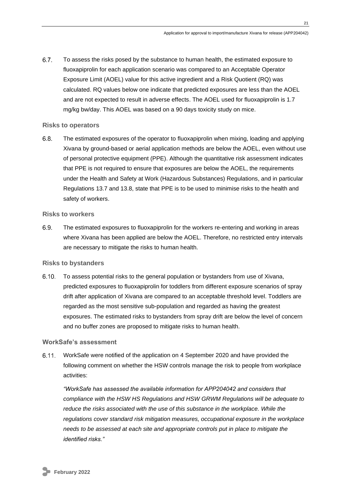$6.7.$ To assess the risks posed by the substance to human health, the estimated exposure to fluoxapiprolin for each application scenario was compared to an Acceptable Operator Exposure Limit (AOEL) value for this active ingredient and a Risk Quotient (RQ) was calculated. RQ values below one indicate that predicted exposures are less than the AOEL and are not expected to result in adverse effects. The AOEL used for fluoxapiprolin is 1.7 mg/kg bw/day. This AOEL was based on a 90 days toxicity study on mice.

#### <span id="page-20-0"></span>**Risks to operators**

 $6.8.$ The estimated exposures of the operator to fluoxapiprolin when mixing, loading and applying Xivana by ground-based or aerial application methods are below the AOEL, even without use of personal protective equipment (PPE). Although the quantitative risk assessment indicates that PPE is not required to ensure that exposures are below the AOEL, the requirements under the Health and Safety at Work (Hazardous Substances) Regulations, and in particular Regulations 13.7 and 13.8, state that PPE is to be used to minimise risks to the health and safety of workers.

#### <span id="page-20-1"></span>**Risks to workers**

6.9. The estimated exposures to fluoxapiprolin for the workers re-entering and working in areas where Xivana has been applied are below the AOEL. Therefore, no restricted entry intervals are necessary to mitigate the risks to human health.

#### <span id="page-20-2"></span>**Risks to bystanders**

 $6.10.$ To assess potential risks to the general population or bystanders from use of Xivana, predicted exposures to fluoxapiprolin for toddlers from different exposure scenarios of spray drift after application of Xivana are compared to an acceptable threshold level. Toddlers are regarded as the most sensitive sub-population and regarded as having the greatest exposures. The estimated risks to bystanders from spray drift are below the level of concern and no buffer zones are proposed to mitigate risks to human health.

#### <span id="page-20-3"></span>**WorkSafe's assessment**

 $6.11.$ WorkSafe were notified of the application on 4 September 2020 and have provided the following comment on whether the HSW controls manage the risk to people from workplace activities:

*"WorkSafe has assessed the available information for APP204042 and considers that compliance with the HSW HS Regulations and HSW GRWM Regulations will be adequate to reduce the risks associated with the use of this substance in the workplace. While the regulations cover standard risk mitigation measures, occupational exposure in the workplace needs to be assessed at each site and appropriate controls put in place to mitigate the identified risks."*

**21**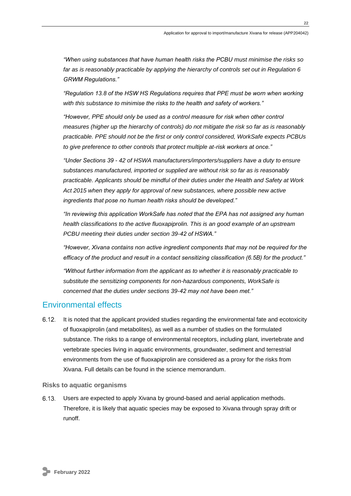*"When using substances that have human health risks the PCBU must minimise the risks so far as is reasonably practicable by applying the hierarchy of controls set out in Regulation 6 GRWM Regulations."*

*"Regulation 13.8 of the HSW HS Regulations requires that PPE must be worn when working with this substance to minimise the risks to the health and safety of workers."*

*"However, PPE should only be used as a control measure for risk when other control measures (higher up the hierarchy of controls) do not mitigate the risk so far as is reasonably practicable. PPE should not be the first or only control considered, WorkSafe expects PCBUs to give preference to other controls that protect multiple at-risk workers at once."*

*"Under Sections 39 - 42 of HSWA manufacturers/importers/suppliers have a duty to ensure substances manufactured, imported or supplied are without risk so far as is reasonably practicable. Applicants should be mindful of their duties under the Health and Safety at Work Act 2015 when they apply for approval of new substances, where possible new active ingredients that pose no human health risks should be developed."*

*"In reviewing this application WorkSafe has noted that the EPA has not assigned any human health classifications to the active fluoxapiprolin. This is an good example of an upstream PCBU meeting their duties under section 39-42 of HSWA."*

*"However, Xivana contains non active ingredient components that may not be required for the efficacy of the product and result in a contact sensitizing classification (6.5B) for the product."*

*"Without further information from the applicant as to whether it is reasonably practicable to substitute the sensitizing components for non-hazardous components, WorkSafe is concerned that the duties under sections 39-42 may not have been met."*

## <span id="page-21-0"></span>Environmental effects

 $6.12.$ It is noted that the applicant provided studies regarding the environmental fate and ecotoxicity of fluoxapiprolin (and metabolites), as well as a number of studies on the formulated substance. The risks to a range of environmental receptors, including plant, invertebrate and vertebrate species living in aquatic environments, groundwater, sediment and terrestrial environments from the use of fluoxapiprolin are considered as a proxy for the risks from Xivana. Full details can be found in the science memorandum.

#### <span id="page-21-1"></span>**Risks to aquatic organisms**

 $6.13.$ Users are expected to apply Xivana by ground-based and aerial application methods. Therefore, it is likely that aquatic species may be exposed to Xivana through spray drift or runoff.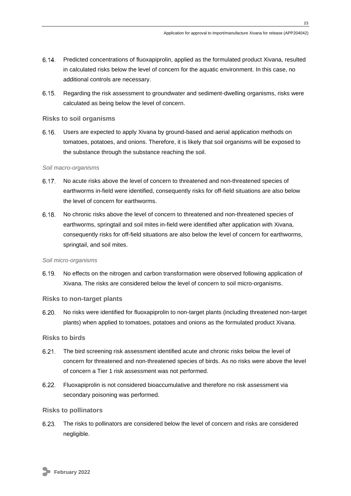- Predicted concentrations of fluoxapiprolin, applied as the formulated product Xivana, resulted in calculated risks below the level of concern for the aquatic environment. In this case, no additional controls are necessary.
- $6.15.$ Regarding the risk assessment to groundwater and sediment-dwelling organisms, risks were calculated as being below the level of concern.

#### <span id="page-22-0"></span>**Risks to soil organisms**

 $6.16.$ Users are expected to apply Xivana by ground-based and aerial application methods on tomatoes, potatoes, and onions. Therefore, it is likely that soil organisms will be exposed to the substance through the substance reaching the soil.

#### *Soil macro-organisms*

- 6.17. No acute risks above the level of concern to threatened and non-threatened species of earthworms in-field were identified, consequently risks for off-field situations are also below the level of concern for earthworms.
- $6.18.$ No chronic risks above the level of concern to threatened and non-threatened species of earthworms, springtail and soil mites in-field were identified after application with Xivana, consequently risks for off-field situations are also below the level of concern for earthworms, springtail, and soil mites.

#### *Soil micro-organisms*

 $6.19.$ No effects on the nitrogen and carbon transformation were observed following application of Xivana. The risks are considered below the level of concern to soil micro-organisms.

#### <span id="page-22-1"></span>**Risks to non-target plants**

 $6.20.$ No risks were identified for fluoxapiprolin to non-target plants (including threatened non-target plants) when applied to tomatoes, potatoes and onions as the formulated product Xivana.

#### <span id="page-22-2"></span>**Risks to birds**

- $6.21.$ The bird screening risk assessment identified acute and chronic risks below the level of concern for threatened and non-threatened species of birds. As no risks were above the level of concern a Tier 1 risk assessment was not performed.
- $6.22.$ Fluoxapiprolin is not considered bioaccumulative and therefore no risk assessment via secondary poisoning was performed.

#### <span id="page-22-3"></span>**Risks to pollinators**

6.23. The risks to pollinators are considered below the level of concern and risks are considered negligible.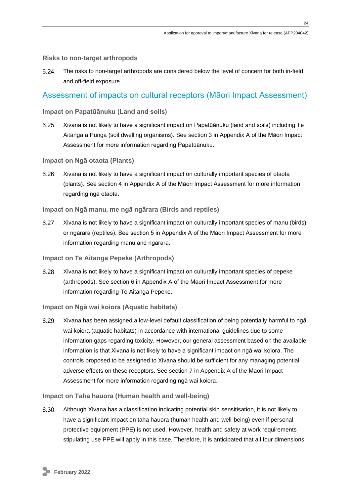#### <span id="page-23-0"></span>**Risks to non-target arthropods**

 $6.24.$ The risks to non-target arthropods are considered below the level of concern for both in-field and off-field exposure.

### <span id="page-23-1"></span>Assessment of impacts on cultural receptors (Māori Impact Assessment)

#### <span id="page-23-2"></span>**Impact on Papatūānuku (Land and soils)**

 $6.25.$ Xivana is not likely to have a significant impact on Papatūānuku (land and soils) including Te Aitanga a Punga (soil dwelling organisms). See section 3 in Appendix A of the Māori Impact Assessment for more information regarding Papatūānuku.

#### <span id="page-23-3"></span>**Impact on Ngā otaota (Plants)**

6.26. Xivana is not likely to have a significant impact on culturally important species of otaota (plants). See section 4 in Appendix A of the Māori Impact Assessment for more information regarding ngā otaota.

#### <span id="page-23-4"></span>**Impact on Ngā manu, me ngā ngārara (Birds and reptiles)**

Xivana is not likely to have a significant impact on culturally important species of manu (birds)  $6.27.$ or ngārara (reptiles). See section 5 in Appendix A of the Māori Impact Assessment for more information regarding manu and ngārara.

#### <span id="page-23-5"></span>**Impact on Te Aitanga Pepeke (Arthropods)**

 $6.28.$ Xivana is not likely to have a significant impact on culturally important species of pepeke (arthropods). See section 6 in Appendix A of the Māori Impact Assessment for more information regarding Te Aitanga Pepeke.

#### <span id="page-23-6"></span>**Impact on Ngā wai koiora (Aquatic habitats)**

 $6.29.$ Xivana has been assigned a low-level default classification of being potentially harmful to ngā wai koiora (aquatic habitats) in accordance with international guidelines due to some information gaps regarding toxicity. However, our general assessment based on the available information is that Xivana is not likely to have a significant impact on ngā wai koiora. The controls proposed to be assigned to Xivana should be sufficient for any managing potential adverse effects on these receptors. See section 7 in Appendix A of the Māori Impact Assessment for more information regarding ngā wai koiora.

#### <span id="page-23-7"></span>**Impact on Taha hauora (Human health and well-being)**

 $6.30.$ Although Xivana has a classification indicating potential skin sensitisation, it is not likely to have a significant impact on taha hauora (human health and well-being) even if personal protective equipment (PPE) is not used. However, health and safety at work requirements stipulating use PPE will apply in this case. Therefore, it is anticipated that all four dimensions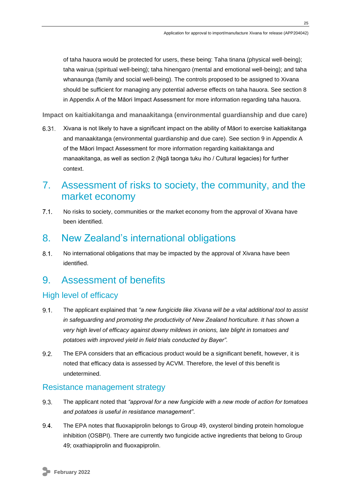of taha hauora would be protected for users, these being: Taha tinana (physical well-being); taha wairua (spiritual well-being); taha hinengaro (mental and emotional well-being); and taha whanaunga (family and social well-being). The controls proposed to be assigned to Xivana should be sufficient for managing any potential adverse effects on taha hauora. See section 8 in Appendix A of the Māori Impact Assessment for more information regarding taha hauora.

<span id="page-24-0"></span>**Impact on kaitiakitanga and manaakitanga (environmental guardianship and due care)**

 $6.31.$ Xivana is not likely to have a significant impact on the ability of Māori to exercise kaitiakitanga and manaakitanga (environmental guardianship and due care). See section 9 in Appendix A of the Māori Impact Assessment for more information regarding kaitiakitanga and manaakitanga, as well as section 2 (Ngā taonga tuku iho / Cultural legacies) for further context.

## <span id="page-24-1"></span>7. Assessment of risks to society, the community, and the market economy

 $71$ No risks to society, communities or the market economy from the approval of Xivana have been identified.

## <span id="page-24-2"></span>8. New Zealand's international obligations

 $8.1.$ No international obligations that may be impacted by the approval of Xivana have been identified.

## <span id="page-24-3"></span>9. Assessment of benefits

## <span id="page-24-4"></span>High level of efficacy

- $9.1$ The applicant explained that *"a new fungicide like Xivana will be a vital additional tool to assist in safeguarding and promoting the productivity of New Zealand horticulture. It has shown a very high level of efficacy against downy mildews in onions, late blight in tomatoes and potatoes with improved yield in field trials conducted by Bayer".*
- $9.2.$ The EPA considers that an efficacious product would be a significant benefit, however, it is noted that efficacy data is assessed by ACVM. Therefore, the level of this benefit is undetermined.

### <span id="page-24-5"></span>Resistance management strategy

- $9.3.$ The applicant noted that *"approval for a new fungicide with a new mode of action for tomatoes and potatoes is useful in resistance management"*.
- 9.4. The EPA notes that fluoxapiprolin belongs to Group 49, oxysterol binding protein homologue inhibition (OSBPI). There are currently two fungicide active ingredients that belong to Group 49; oxathiapiprolin and fluoxapiprolin.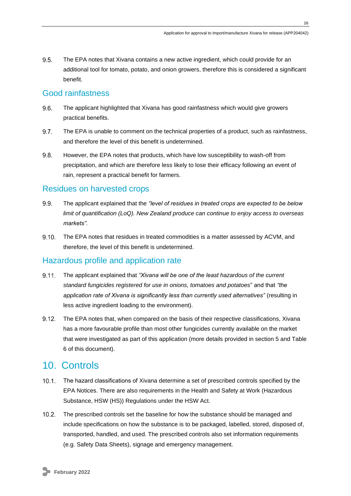$9.5.$ The EPA notes that Xivana contains a new active ingredient, which could provide for an additional tool for tomato, potato, and onion growers, therefore this is considered a significant benefit.

### <span id="page-25-0"></span>Good rainfastness

- 96. The applicant highlighted that Xivana has good rainfastness which would give growers practical benefits.
- $9.7.$ The EPA is unable to comment on the technical properties of a product, such as rainfastness, and therefore the level of this benefit is undetermined.
- 9.8. However, the EPA notes that products, which have low susceptibility to wash-off from precipitation, and which are therefore less likely to lose their efficacy following an event of rain, represent a practical benefit for farmers.

### <span id="page-25-1"></span>Residues on harvested crops

- 9.9. The applicant explained that the *"level of residues in treated crops are expected to be below limit of quantification (LoQ). New Zealand produce can continue to enjoy access to overseas markets".*
- $9,10$ The EPA notes that residues in treated commodities is a matter assessed by ACVM, and therefore, the level of this benefit is undetermined.

## <span id="page-25-2"></span>Hazardous profile and application rate

- $9.11.$ The applicant explained that *"Xivana will be one of the least hazardous of the current standard fungicides registered for use in onions, tomatoes and potatoes*" and that *"the application rate of Xivana is significantly less than currently used alternatives"* (resulting in less active ingredient loading to the environment).
- $9.12.$ The EPA notes that, when compared on the basis of their respective classifications, Xivana has a more favourable profile than most other fungicides currently available on the market that were investigated as part of this application (more details provided in section 5 and Table 6 of this document).

## <span id="page-25-3"></span>10. Controls

- 10.1. The hazard classifications of Xivana determine a set of prescribed controls specified by the EPA Notices. There are also requirements in the Health and Safety at Work (Hazardous Substance, HSW (HS)) Regulations under the HSW Act.
- $10.2.$ The prescribed controls set the baseline for how the substance should be managed and include specifications on how the substance is to be packaged, labelled, stored, disposed of, transported, handled, and used. The prescribed controls also set information requirements (e.g. Safety Data Sheets), signage and emergency management.

**26**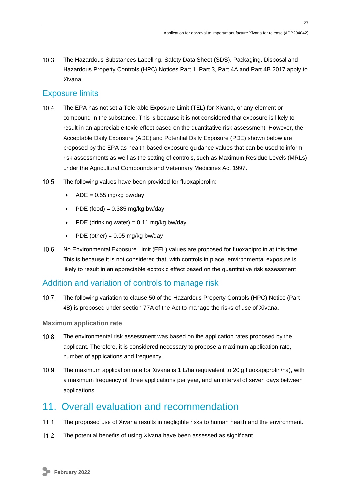The Hazardous Substances Labelling, Safety Data Sheet (SDS), Packaging, Disposal and Hazardous Property Controls (HPC) Notices Part 1, Part 3, Part 4A and Part 4B 2017 apply to Xivana.

## <span id="page-26-0"></span>Exposure limits

- $10.4.$ The EPA has not set a Tolerable Exposure Limit (TEL) for Xivana, or any element or compound in the substance. This is because it is not considered that exposure is likely to result in an appreciable toxic effect based on the quantitative risk assessment. However, the Acceptable Daily Exposure (ADE) and Potential Daily Exposure (PDE) shown below are proposed by the EPA as health-based exposure guidance values that can be used to inform risk assessments as well as the setting of controls, such as Maximum Residue Levels (MRLs) under the Agricultural Compounds and Veterinary Medicines Act 1997.
- $10.5.$ The following values have been provided for fluoxapiprolin:
	- $ADE = 0.55$  mg/kg bw/day
	- PDE (food) =  $0.385$  mg/kg bw/day
	- PDE (drinking water) =  $0.11$  mg/kg bw/day
	- PDE (other) =  $0.05$  mg/kg bw/day
- $10.6$ No Environmental Exposure Limit (EEL) values are proposed for fluoxapiprolin at this time. This is because it is not considered that, with controls in place, environmental exposure is likely to result in an appreciable ecotoxic effect based on the quantitative risk assessment.

### <span id="page-26-1"></span>Addition and variation of controls to manage risk

The following variation to clause 50 of the Hazardous Property Controls (HPC) Notice (Part  $10.7.$ 4B) is proposed under section 77A of the Act to manage the risks of use of Xivana.

#### <span id="page-26-2"></span>**Maximum application rate**

- $10.8$ The environmental risk assessment was based on the application rates proposed by the applicant. Therefore, it is considered necessary to propose a maximum application rate, number of applications and frequency.
- $10.9.$ The maximum application rate for Xivana is 1 L/ha (equivalent to 20 g fluoxapiprolin/ha), with a maximum frequency of three applications per year, and an interval of seven days between applications.

## <span id="page-26-3"></span>11. Overall evaluation and recommendation

- 11.1. The proposed use of Xivana results in negligible risks to human health and the environment.
- $11.2$ The potential benefits of using Xivana have been assessed as significant.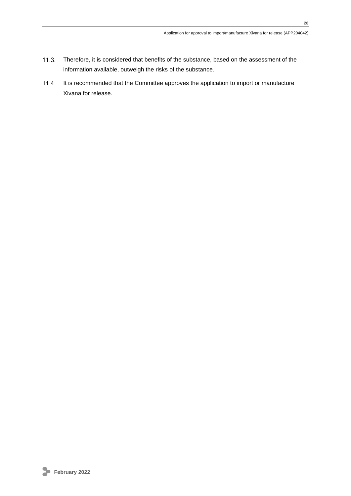- $11.3.$ Therefore, it is considered that benefits of the substance, based on the assessment of the information available, outweigh the risks of the substance.
- 11.4. It is recommended that the Committee approves the application to import or manufacture Xivana for release.